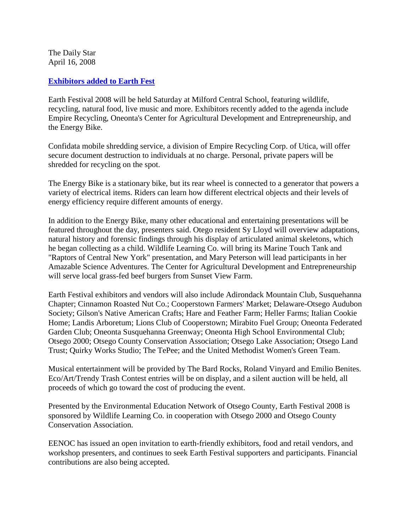The Daily Star April 16, 2008

## **[Exhibitors added to Earth Fest](http://www.thedailystar.com/community/x112896699/Exhibitors-added-to-Earth-Fest)**

Earth Festival 2008 will be held Saturday at Milford Central School, featuring wildlife, recycling, natural food, live music and more. Exhibitors recently added to the agenda include Empire Recycling, Oneonta's Center for Agricultural Development and Entrepreneurship, and the Energy Bike.

Confidata mobile shredding service, a division of Empire Recycling Corp. of Utica, will offer secure document destruction to individuals at no charge. Personal, private papers will be shredded for recycling on the spot.

The Energy Bike is a stationary bike, but its rear wheel is connected to a generator that powers a variety of electrical items. Riders can learn how different electrical objects and their levels of energy efficiency require different amounts of energy.

In addition to the Energy Bike, many other educational and entertaining presentations will be featured throughout the day, presenters said. Otego resident Sy Lloyd will overview adaptations, natural history and forensic findings through his display of articulated animal skeletons, which he began collecting as a child. Wildlife Learning Co. will bring its Marine Touch Tank and "Raptors of Central New York" presentation, and Mary Peterson will lead participants in her Amazable Science Adventures. The Center for Agricultural Development and Entrepreneurship will serve local grass-fed beef burgers from Sunset View Farm.

Earth Festival exhibitors and vendors will also include Adirondack Mountain Club, Susquehanna Chapter; Cinnamon Roasted Nut Co.; Cooperstown Farmers' Market; Delaware-Otsego Audubon Society; Gilson's Native American Crafts; Hare and Feather Farm; Heller Farms; Italian Cookie Home; Landis Arboretum; Lions Club of Cooperstown; Mirabito Fuel Group; Oneonta Federated Garden Club; Oneonta Susquehanna Greenway; Oneonta High School Environmental Club; Otsego 2000; Otsego County Conservation Association; Otsego Lake Association; Otsego Land Trust; Quirky Works Studio; The TePee; and the United Methodist Women's Green Team.

Musical entertainment will be provided by The Bard Rocks, Roland Vinyard and Emilio Benites. Eco/Art/Trendy Trash Contest entries will be on display, and a silent auction will be held, all proceeds of which go toward the cost of producing the event.

Presented by the Environmental Education Network of Otsego County, Earth Festival 2008 is sponsored by Wildlife Learning Co. in cooperation with Otsego 2000 and Otsego County Conservation Association.

EENOC has issued an open invitation to earth-friendly exhibitors, food and retail vendors, and workshop presenters, and continues to seek Earth Festival supporters and participants. Financial contributions are also being accepted.